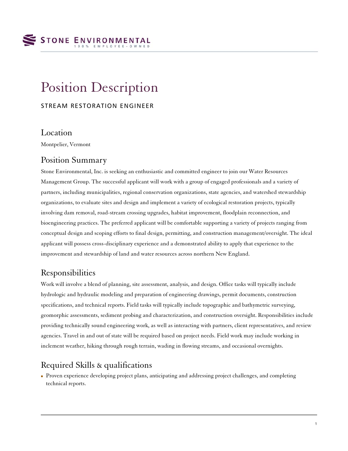

# Position Description

STREAM RESTORATION ENGINEER

#### Location

Montpelier, Vermont

#### Position Summary

Stone Environmental, Inc. is seeking an enthusiastic and committed engineer to join our Water Resources Management Group. The successful applicant will work with a group of engaged professionals and a variety of partners, including municipalities, regional conservation organizations, state agencies, and watershed stewardship organizations, to evaluate sites and design and implement a variety of ecological restoration projects, typically involving dam removal, road-stream crossing upgrades, habitat improvement, floodplain reconnection, and bioengineering practices. The preferred applicant will be comfortable supporting a variety of projects ranging from conceptual design and scoping efforts to final design, permitting, and construction management/oversight. The ideal applicant will possess cross-disciplinary experience and a demonstrated ability to apply that experience to the improvement and stewardship of land and water resources across northern New England.

## Responsibilities

Work will involve a blend of planning, site assessment, analysis, and design. Office tasks will typically include hydrologic and hydraulic modeling and preparation of engineering drawings, permit documents, construction specifications, and technical reports. Field tasks will typically include topographic and bathymetric surveying, geomorphic assessments, sediment probing and characterization, and construction oversight. Responsibilities include providing technically sound engineering work, as well as interacting with partners, client representatives, and review agencies. Travel in and out of state will be required based on project needs. Field work may include working in inclement weather, hiking through rough terrain, wading in flowing streams, and occasional overnights.

## Required Skills & qualifications

 Proven experience developing project plans, anticipating and addressing project challenges, and completing technical reports.